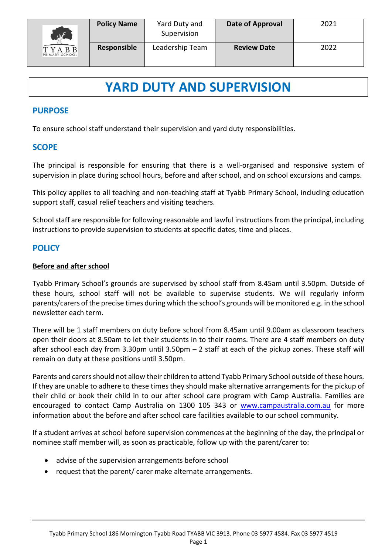

# **YARD DUTY AND SUPERVISION**

## **PURPOSE**

To ensure school staff understand their supervision and yard duty responsibilities.

## **SCOPE**

The principal is responsible for ensuring that there is a well-organised and responsive system of supervision in place during school hours, before and after school, and on school excursions and camps.

This policy applies to all teaching and non-teaching staff at Tyabb Primary School, including education support staff, casual relief teachers and visiting teachers.

School staff are responsible for following reasonable and lawful instructions from the principal, including instructions to provide supervision to students at specific dates, time and places.

### **POLICY**

#### **Before and after school**

Tyabb Primary School's grounds are supervised by school staff from 8.45am until 3.50pm. Outside of these hours, school staff will not be available to supervise students. We will regularly inform parents/carers of the precise times during which the school's grounds will be monitored e.g. in the school newsletter each term.

There will be 1 staff members on duty before school from 8.45am until 9.00am as classroom teachers open their doors at 8.50am to let their students in to their rooms. There are 4 staff members on duty after school each day from 3.30pm until 3.50pm – 2 staff at each of the pickup zones. These staff will remain on duty at these positions until 3.50pm.

Parents and carers should not allow their children to attend Tyabb Primary School outside of these hours. If they are unable to adhere to these times they should make alternative arrangements for the pickup of their child or book their child in to our after school care program with Camp Australia. Families are encouraged to contact Camp Australia on 1300 105 343 or [www.campaustralia.com.au](http://www.campaustralia.com.au/) for more information about the before and after school care facilities available to our school community.

If a student arrives at school before supervision commences at the beginning of the day, the principal or nominee staff member will, as soon as practicable, follow up with the parent/carer to:

- advise of the supervision arrangements before school
- request that the parent/ carer make alternate arrangements.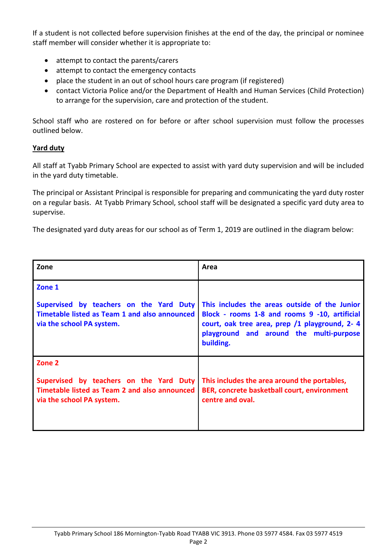If a student is not collected before supervision finishes at the end of the day, the principal or nominee staff member will consider whether it is appropriate to:

- attempt to contact the parents/carers
- attempt to contact the emergency contacts
- place the student in an out of school hours care program (if registered)
- contact Victoria Police and/or the Department of Health and Human Services (Child Protection) to arrange for the supervision, care and protection of the student.

School staff who are rostered on for before or after school supervision must follow the processes outlined below.

#### **Yard duty**

All staff at Tyabb Primary School are expected to assist with yard duty supervision and will be included in the yard duty timetable.

The principal or Assistant Principal is responsible for preparing and communicating the yard duty roster on a regular basis. At Tyabb Primary School, school staff will be designated a specific yard duty area to supervise.

The designated yard duty areas for our school as of Term 1, 2019 are outlined in the diagram below:

| Zone                                                                                                                            | Area                                                                                                                                                                                                    |
|---------------------------------------------------------------------------------------------------------------------------------|---------------------------------------------------------------------------------------------------------------------------------------------------------------------------------------------------------|
| Zone 1                                                                                                                          |                                                                                                                                                                                                         |
| Supervised by teachers on the Yard Duty<br>Timetable listed as Team 1 and also announced<br>via the school PA system.           | This includes the areas outside of the Junior<br>Block - rooms 1-8 and rooms 9 -10, artificial<br>court, oak tree area, prep /1 playground, 2-4<br>playground and around the multi-purpose<br>building. |
| Zone 2<br>Supervised by teachers on the Yard Duty<br>Timetable listed as Team 2 and also announced<br>via the school PA system. | This includes the area around the portables,<br>BER, concrete basketball court, environment<br>centre and oval.                                                                                         |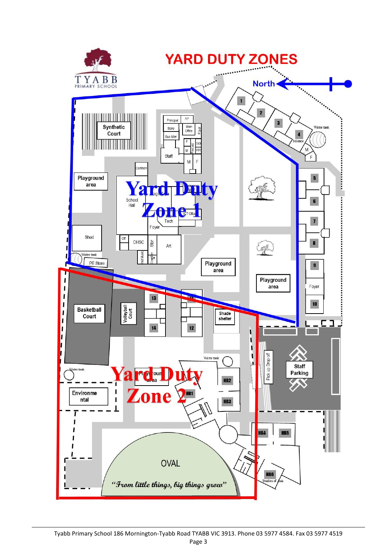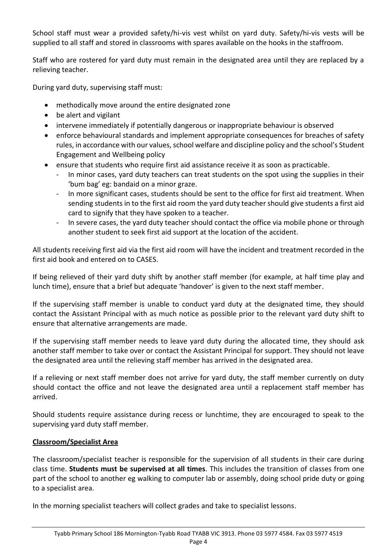School staff must wear a provided safety/hi-vis vest whilst on yard duty. Safety/hi-vis vests will be supplied to all staff and stored in classrooms with spares available on the hooks in the staffroom.

Staff who are rostered for yard duty must remain in the designated area until they are replaced by a relieving teacher.

During yard duty, supervising staff must:

- methodically move around the entire designated zone
- be alert and vigilant
- intervene immediately if potentially dangerous or inappropriate behaviour is observed
- enforce behavioural standards and implement appropriate consequences for breaches of safety rules, in accordance with our values, school welfare and discipline policy and the school's Student Engagement and Wellbeing policy
- ensure that students who require first aid assistance receive it as soon as practicable.
	- In minor cases, yard duty teachers can treat students on the spot using the supplies in their 'bum bag' eg: bandaid on a minor graze.
	- In more significant cases, students should be sent to the office for first aid treatment. When sending students in to the first aid room the yard duty teacher should give students a first aid card to signify that they have spoken to a teacher.
	- In severe cases, the yard duty teacher should contact the office via mobile phone or through another student to seek first aid support at the location of the accident.

All students receiving first aid via the first aid room will have the incident and treatment recorded in the first aid book and entered on to CASES.

If being relieved of their yard duty shift by another staff member (for example, at half time play and lunch time), ensure that a brief but adequate 'handover' is given to the next staff member.

If the supervising staff member is unable to conduct yard duty at the designated time, they should contact the Assistant Principal with as much notice as possible prior to the relevant yard duty shift to ensure that alternative arrangements are made.

If the supervising staff member needs to leave yard duty during the allocated time, they should ask another staff member to take over or contact the Assistant Principal for support. They should not leave the designated area until the relieving staff member has arrived in the designated area.

If a relieving or next staff member does not arrive for yard duty, the staff member currently on duty should contact the office and not leave the designated area until a replacement staff member has arrived.

Should students require assistance during recess or lunchtime, they are encouraged to speak to the supervising yard duty staff member.

## **Classroom/Specialist Area**

The classroom/specialist teacher is responsible for the supervision of all students in their care during class time. **Students must be supervised at all times**. This includes the transition of classes from one part of the school to another eg walking to computer lab or assembly, doing school pride duty or going to a specialist area.

In the morning specialist teachers will collect grades and take to specialist lessons.